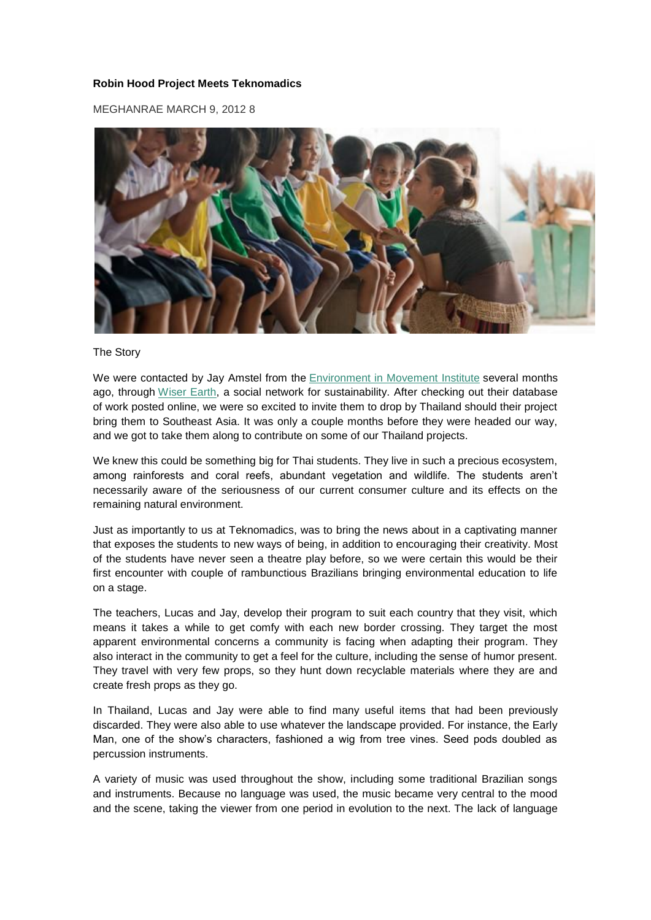## **Robin Hood Project Meets Teknomadics**

MEGHANRAE MARCH 9, 2012 [8](http://teknomadics.com/2012/03/robin-hood-project-meets-teknomadics/#comments)



### The Story

We were contacted by Jay Amstel from the [Environment in Movement Institute](http://teknomadics.com/2012/01/thailand-environmental-education-tour/) several months ago, through [Wiser Earth,](http://www.wiserearth.org/) a social network for sustainability. After checking out their database of work posted online, we were so excited to invite them to drop by Thailand should their project bring them to Southeast Asia. It was only a couple months before they were headed our way, and we got to take them along to contribute on some of our Thailand projects.

We knew this could be something big for Thai students. They live in such a precious ecosystem, among rainforests and coral reefs, abundant vegetation and wildlife. The students aren't necessarily aware of the seriousness of our current consumer culture and its effects on the remaining natural environment.

Just as importantly to us at Teknomadics, was to bring the news about in a captivating manner that exposes the students to new ways of being, in addition to encouraging their creativity. Most of the students have never seen a theatre play before, so we were certain this would be their first encounter with couple of rambunctious Brazilians bringing environmental education to life on a stage.

The teachers, Lucas and Jay, develop their program to suit each country that they visit, which means it takes a while to get comfy with each new border crossing. They target the most apparent environmental concerns a community is facing when adapting their program. They also interact in the community to get a feel for the culture, including the sense of humor present. They travel with very few props, so they hunt down recyclable materials where they are and create fresh props as they go.

In Thailand, Lucas and Jay were able to find many useful items that had been previously discarded. They were also able to use whatever the landscape provided. For instance, the Early Man, one of the show's characters, fashioned a wig from tree vines. Seed pods doubled as percussion instruments.

A variety of music was used throughout the show, including some traditional Brazilian songs and instruments. Because no language was used, the music became very central to the mood and the scene, taking the viewer from one period in evolution to the next. The lack of language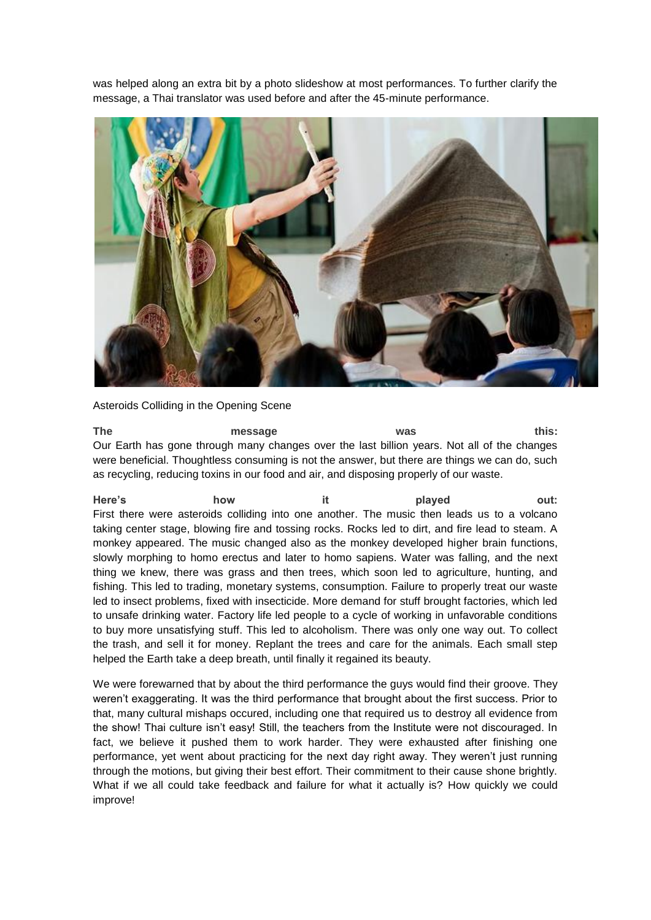was helped along an extra bit by a photo slideshow at most performances. To further clarify the message, a Thai translator was used before and after the 45-minute performance.



## Asteroids Colliding in the Opening Scene

**The message was this:** Our Earth has gone through many changes over the last billion years. Not all of the changes were beneficial. Thoughtless consuming is not the answer, but there are things we can do, such as recycling, reducing toxins in our food and air, and disposing properly of our waste.

**Here's how it played out:** First there were asteroids colliding into one another. The music then leads us to a volcano taking center stage, blowing fire and tossing rocks. Rocks led to dirt, and fire lead to steam. A monkey appeared. The music changed also as the monkey developed higher brain functions, slowly morphing to homo erectus and later to homo sapiens. Water was falling, and the next thing we knew, there was grass and then trees, which soon led to agriculture, hunting, and fishing. This led to trading, monetary systems, consumption. Failure to properly treat our waste led to insect problems, fixed with insecticide. More demand for stuff brought factories, which led to unsafe drinking water. Factory life led people to a cycle of working in unfavorable conditions to buy more unsatisfying stuff. This led to alcoholism. There was only one way out. To collect the trash, and sell it for money. Replant the trees and care for the animals. Each small step helped the Earth take a deep breath, until finally it regained its beauty.

We were forewarned that by about the third performance the guys would find their groove. They weren't exaggerating. It was the third performance that brought about the first success. Prior to that, many cultural mishaps occured, including one that required us to destroy all evidence from the show! Thai culture isn't easy! Still, the teachers from the Institute were not discouraged. In fact, we believe it pushed them to work harder. They were exhausted after finishing one performance, yet went about practicing for the next day right away. They weren't just running through the motions, but giving their best effort. Their commitment to their cause shone brightly. What if we all could take feedback and failure for what it actually is? How quickly we could improve!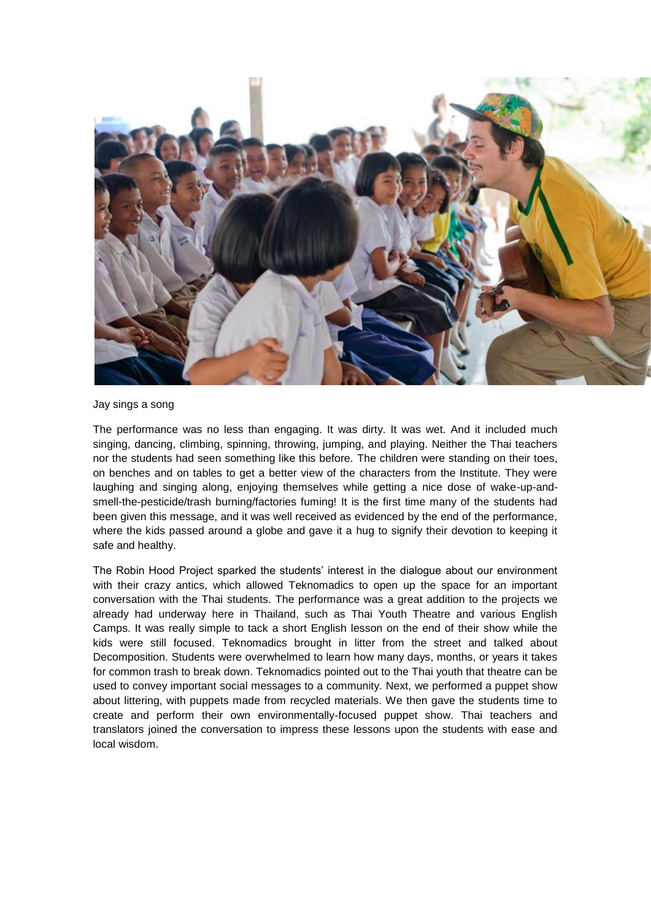

Jay sings a song

The performance was no less than engaging. It was dirty. It was wet. And it included much singing, dancing, climbing, spinning, throwing, jumping, and playing. Neither the Thai teachers nor the students had seen something like this before. The children were standing on their toes, on benches and on tables to get a better view of the characters from the Institute. They were laughing and singing along, enjoying themselves while getting a nice dose of wake-up-andsmell-the-pesticide/trash burning/factories fuming! It is the first time many of the students had been given this message, and it was well received as evidenced by the end of the performance, where the kids passed around a globe and gave it a hug to signify their devotion to keeping it safe and healthy.

The Robin Hood Project sparked the students' interest in the dialogue about our environment with their crazy antics, which allowed Teknomadics to open up the space for an important conversation with the Thai students. The performance was a great addition to the projects we already had underway here in Thailand, such as Thai Youth Theatre and various English Camps. It was really simple to tack a short English lesson on the end of their show while the kids were still focused. Teknomadics brought in litter from the street and talked about Decomposition. Students were overwhelmed to learn how many days, months, or years it takes for common trash to break down. Teknomadics pointed out to the Thai youth that theatre can be used to convey important social messages to a community. Next, we performed a puppet show about littering, with puppets made from recycled materials. We then gave the students time to create and perform their own environmentally-focused puppet show. Thai teachers and translators joined the conversation to impress these lessons upon the students with ease and local wisdom.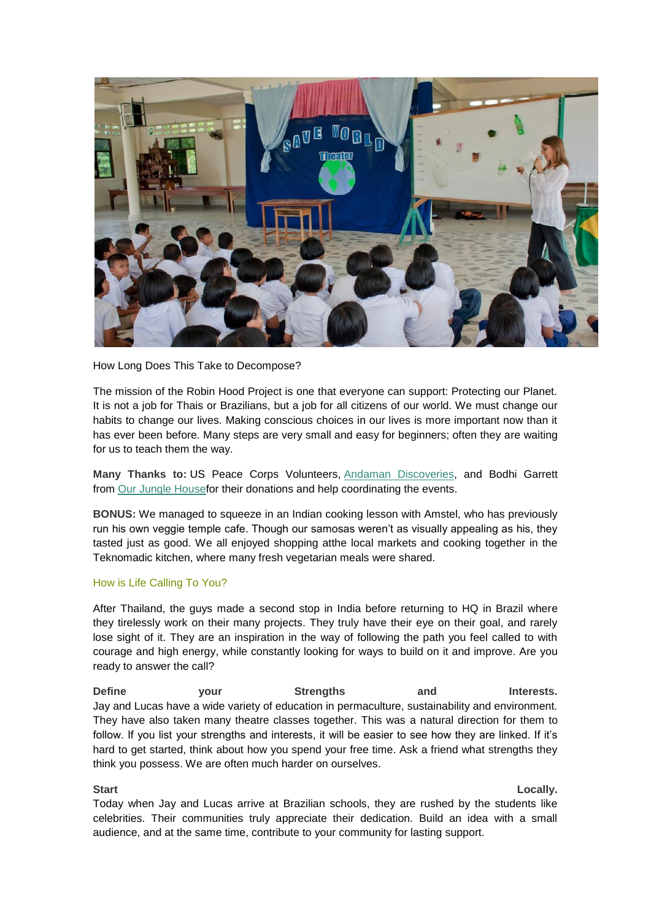

How Long Does This Take to Decompose?

The mission of the Robin Hood Project is one that everyone can support: Protecting our Planet. It is not a job for Thais or Brazilians, but a job for all citizens of our world. We must change our habits to change our lives. Making conscious choices in our lives is more important now than it has ever been before. Many steps are very small and easy for beginners; often they are waiting for us to teach them the way.

**Many Thanks to:** US Peace Corps Volunteers, [Andaman Discoveries,](http://andamandiscoveries.com/) and Bodhi Garrett from [Our Jungle Housef](http://www.khaosokaccommodation.com/)or their donations and help coordinating the events.

**BONUS:** We managed to squeeze in an Indian cooking lesson with Amstel, who has previously run his own veggie temple cafe. Though our samosas weren't as visually appealing as his, they tasted just as good. We all enjoyed shopping atthe local markets and cooking together in the Teknomadic kitchen, where many fresh vegetarian meals were shared.

### How is Life Calling To You?

After Thailand, the guys made a second stop in India before returning to HQ in Brazil where they tirelessly work on their many projects. They truly have their eye on their goal, and rarely lose sight of it. They are an inspiration in the way of following the path you feel called to with courage and high energy, while constantly looking for ways to build on it and improve. Are you ready to answer the call?

**Define your Strengths and Interests.** Jay and Lucas have a wide variety of education in permaculture, sustainability and environment. They have also taken many theatre classes together. This was a natural direction for them to follow. If you list your strengths and interests, it will be easier to see how they are linked. If it's hard to get started, think about how you spend your free time. Ask a friend what strengths they think you possess. We are often much harder on ourselves.

### **Start Locally.** And the control of the control of the control of the control of the control of the control of the control of the control of the control of the control of the control of the control of the control of the co

Today when Jay and Lucas arrive at Brazilian schools, they are rushed by the students like celebrities. Their communities truly appreciate their dedication. Build an idea with a small audience, and at the same time, contribute to your community for lasting support.